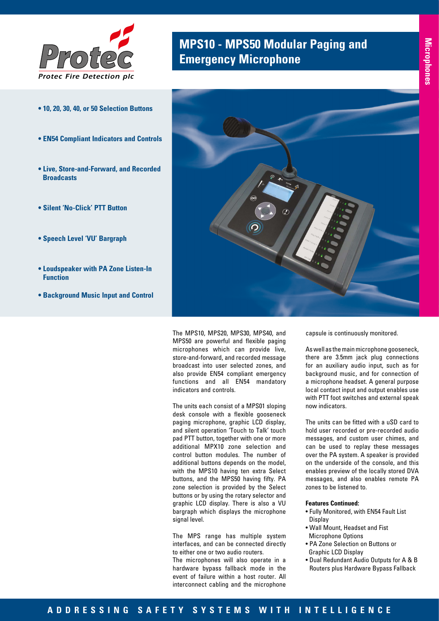

## **MPS10 - MPS50 Modular Paging and<br><b>Emergency Microphone**

- **10, 20, 30, 40, or 50 Selection Buttons**
- **EN54 Compliant Indicators and Controls**
- **Live, Store-and-Forward, and Recorded Broadcasts**
- **Silent 'No-Click' PTT Button**
- **Speech Level 'VU' Bargraph**
- **Loudspeaker with PA Zone Listen-In Function**
- **Background Music Input and Control**



The MPS10, MPS20, MPS30, MPS40, and MPS50 are powerful and flexible paging microphones which can provide live, store-and-forward, and recorded message broadcast into user selected zones, and also provide EN54 compliant emergency functions and all EN54 mandatory indicators and controls.

The units each consist of a MPS01 sloping desk console with a flexible gooseneck paging microphone, graphic LCD display, and silent operation 'Touch to Talk' touch pad PTT button, together with one or more additional MPX10 zone selection and control button modules. The number of additional buttons depends on the model, with the MPS10 having ten extra Select buttons, and the MPS50 having fifty. PA zone selection is provided by the Select buttons or by using the rotary selector and graphic LCD display. There is also a VU bargraph which displays the microphone signal level.

The MPS range has multiple system interfaces, and can be connected directly to either one or two audio routers.

The microphones will also operate in a hardware bypass fallback mode in the event of failure within a host router. All interconnect cabling and the microphone

capsule is continuously monitored.

As well as the main microphone gooseneck, there are 3.5mm jack plug connections for an auxiliary audio input, such as for background music, and for connection of a microphone headset. A general purpose local contact input and output enables use with PTT foot switches and external speak now indicators.

The units can be fitted with a uSD card to hold user recorded or pre-recorded audio messages, and custom user chimes, and can be used to replay these messages over the PA system. A speaker is provided on the underside of the console, and this enables preview of the locally stored DVA messages, and also enables remote PA zones to be listened to.

## **Features Continued:**

- Fully Monitored, with EN54 Fault List **Display**
- Wall Mount, Headset and Fist Microphone Options
- PA Zone Selection on Buttons or Graphic LCD Display
- Dual Redundant Audio Outputs for A & B Routers plus Hardware Bypass Fallback